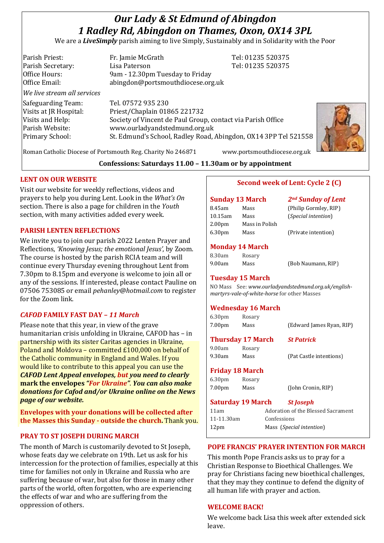# *Our Lady & St Edmund of Abingdon 1 Radley Rd, Abingdon on Thames, Oxon, OX14 3PL*

We are a *LiveSimply* parish aiming to live Simply, Sustainably and in Solidarity with the Poor

| Parish Priest:              | Fr. Jamie McGrath                                               | Tel: 01235 520375 |  |
|-----------------------------|-----------------------------------------------------------------|-------------------|--|
| Parish Secretary:           | Lisa Paterson                                                   | Tel: 01235 520375 |  |
| Office Hours:               | 9am - 12.30pm Tuesday to Friday                                 |                   |  |
| Office Email:               | abingdon@portsmouthdiocese.org.uk                               |                   |  |
| We live stream all services |                                                                 |                   |  |
| Safeguarding Team:          | Tel. 07572 935 230                                              |                   |  |
| Visits at JR Hospital:      | Priest/Chaplain 01865 221732                                    |                   |  |
| Visits and Help:            | Society of Vincent de Paul Group, contact via Parish Office     |                   |  |
| Parish Website:             | www.ourladyandstedmund.org.uk                                   |                   |  |
| Primary School:             | St. Edmund's School, Radley Road, Abingdon, OX14 3PP Tel 521558 |                   |  |
|                             |                                                                 |                   |  |



Roman Catholic Diocese of Portsmouth Reg. Charity No 246871 www.portsmouthdiocese.org.uk

# **Confessions: Saturdays 11.00 – 11.30am or by appointment**

# **LENT ON OUR WEBSITE**

Visit our website for weekly reflections, videos and prayers to help you during Lent. Look in the *What's On* section. There is also a page for children in the *Youth* section, with many activities added every week.

### **PARISH LENTEN REFLECTIONS**

We invite you to join our parish 2022 Lenten Prayer and Reflections, *'Knowing Jesus; the emotional Jesus'*, by Zoom. The course is hosted by the parish RCIA team and will continue every Thursday evening throughout Lent from 7.30pm to 8.15pm and everyone is welcome to join all or any of the sessions. If interested, please contact Pauline on 07506 753085 or email *pehanley@hotmail.com* to register for the Zoom link.

# *CAFOD* **FAMILY FAST DAY** *– 11 March*

Please note that this year, in view of the grave humanitarian crisis unfolding in Ukraine, CAFOD has – in partnership with its sister Caritas agencies in Ukraine, Poland and Moldova – committed £100,000 on behalf of the Catholic community in England and Wales. If you would like to contribute to this appeal you can use the *CAFOD Lent Appeal envelopes, but you need to clearly*  **mark the envelopes** *"For Ukraine"*. *You can also make donations for Cafod and/or Ukraine online on the News page of our website.*

**Envelopes with your donations will be collected after the Masses this Sunday - outside the church.** Thank you.

# **PRAY TO ST JOSEPH DURING MARCH**

The month of March is customarily devoted to St Joseph, whose feats day we celebrate on 19th. Let us ask for his intercession for the protection of families, especially at this time for families not only in Ukraine and Russia who are suffering because of war, but also for those in many other parts of the world, often forgotten, who are experiencing the effects of war and who are suffering from the oppression of others.

# **Second week of Lent: Cycle 2 (C)**

#### **Sunday 13 March** *2nd Sunday of Lent* 8.45am Mass (Philip Gormley, RIP) 10.15am Mass (*Special intention*) 2.00pm Mass in Polish 6.30pm Mass (Private intention)

# **Monday 14 March**

| 8.30am | Rosary |
|--------|--------|
| 9.00am | Mass   |

9.00am Mass (Bob Naumann, RIP)

#### **Tuesday 15 March**

NO Mass See: *www.ourladyandstedmund.org.uk/englishmartyrs-vale-of-white-horse* for other Masses

# **Wednesday 16 March**

| 6.30 <sub>pm</sub>       | Rosary |                                    |                          |
|--------------------------|--------|------------------------------------|--------------------------|
| 7.00pm                   | Mass   |                                    | (Edward James Ryan, RIP) |
| <b>Thursday 17 March</b> |        |                                    | <b>St Patrick</b>        |
| 9.00am                   | Rosary |                                    |                          |
| 9.30am                   | Mass   |                                    | (Pat Castle intentions)  |
| <b>Friday 18 March</b>   |        |                                    |                          |
| 6.30 <sub>pm</sub>       | Rosary |                                    |                          |
| 7.00pm                   | Mass   |                                    | (John Cronin, RIP)       |
| <b>Saturday 19 March</b> |        |                                    | <b>St Joseph</b>         |
| 11am                     |        | Adoration of the Blessed Sacrament |                          |
| 11-11.30am               |        | Confessions                        |                          |

# **POPE FRANCIS' PRAYER INTENTION FOR MARCH**

12pm Mass (*Special intention*)

This month Pope Francis asks us to pray for a Christian Response to Bioethical Challenges. We pray for Christians facing new bioethical challenges, that they may they continue to defend the dignity of all human life with prayer and action.

# **WELCOME BACK!**

We welcome back Lisa this week after extended sick leave.